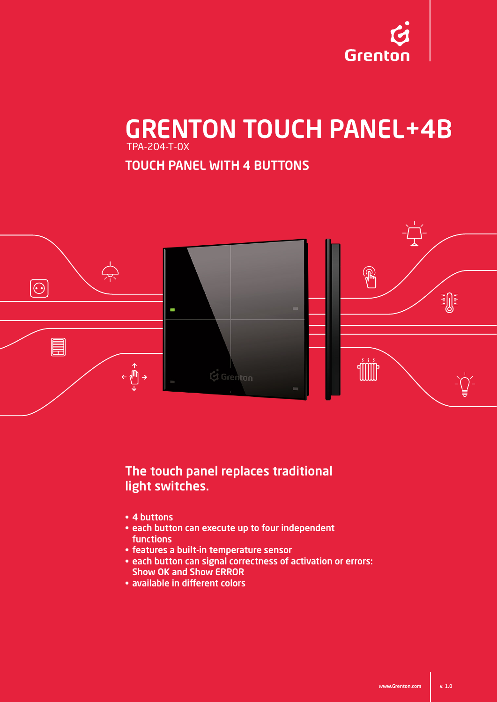

# GRENTON TOUCH PANEL+4B TPA-204-T-0X

TOUCH PANEL WITH 4 BUTTONS



#### The touch panel replaces traditional light switches.

- 4 buttons
- each button can execute up to four independent functions
- features a built-in temperature sensor
- each button can signal correctness of activation or errors: Show OK and Show ERROR
- available in different colors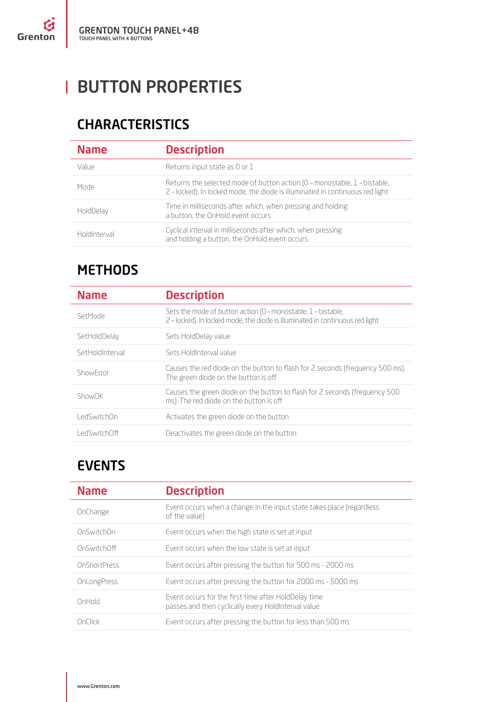# **BUTTON PROPERTIES**

## CHARACTERISTICS

| <b>Name</b>  | <b>Description</b>                                                                                                                                         |
|--------------|------------------------------------------------------------------------------------------------------------------------------------------------------------|
| Value        | Returns input state as 0 or 1                                                                                                                              |
| Mode         | Returns the selected mode of button action (0 - monostable, 1 - bistable,<br>2 - locked). In locked mode, the diode is illuminated in continuous red light |
| HoldDelay    | Time in milliseconds after which, when pressing and holding<br>a button, the OnHold event occurs                                                           |
| HoldInterval | Cyclical interval in milliseconds after which, when pressing<br>and holding a button, the OnHold event occurs                                              |

### METHODS

| <b>Name</b>     | <b>Description</b>                                                                                                                             |
|-----------------|------------------------------------------------------------------------------------------------------------------------------------------------|
| SetMode         | Sets the mode of button action (0 - monostable, $1$ - bistable,<br>2-locked). In locked mode, the diode is illuminated in continuous red light |
| SetHoldDelay    | Sets HoldDelay value                                                                                                                           |
| SetHoldInterval | Sets HoldInterval value                                                                                                                        |
| ShowFrror       | Causes the red diode on the button to flash for 2 seconds (frequency 500 ms).<br>The green diode on the button is off                          |
| ShowOK          | Causes the green diode on the button to flash for 2 seconds (frequency 500<br>ms). The red diode on the button is off                          |
| LedSwitchOn     | Activates the green diode on the button                                                                                                        |
| l edSwitchOff   | Deactivates the green diode on the button                                                                                                      |

### EVENTS

| <b>Name</b>  | <b>Description</b>                                                                                          |
|--------------|-------------------------------------------------------------------------------------------------------------|
| OnChange     | Event occurs when a change in the input state takes place (regardless<br>of the value)                      |
| OnSwitchOn   | Event occurs when the high state is set at input                                                            |
| OnSwitchOff  | Event occurs when the low state is set at input                                                             |
| OnShortPress | Event occurs after pressing the button for 500 ms - 2000 ms                                                 |
| OnLongPress  | Event occurs after pressing the button for 2000 ms - 5000 ms                                                |
| OnHold       | Event occurs for the first time after HoldDelay time<br>passes and then cyclically every HoldInterval value |
| OnClick      | Event occurs after pressing the button for less than 500 ms                                                 |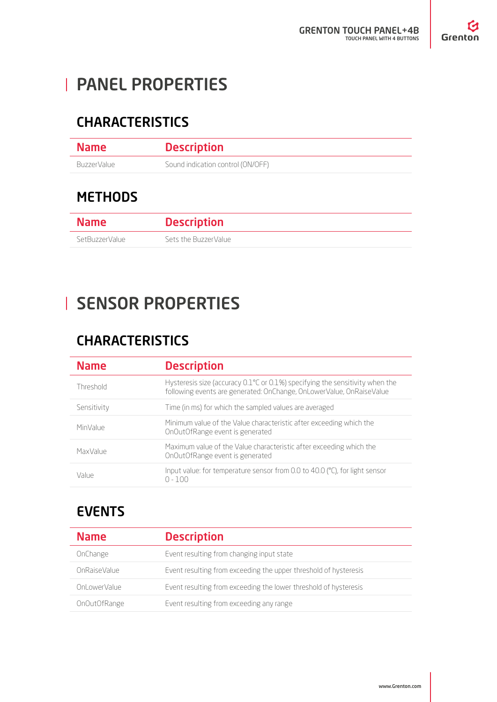# PANEL PROPERTIES

## CHARACTERISTICS

| <b>Name</b> | <b>Description</b>                |
|-------------|-----------------------------------|
| BuzzerValue | Sound indication control (ON/OFF) |

## **METHODS**

| <b>Name</b>    | <b>Description</b>   |
|----------------|----------------------|
| SetBuzzerValue | Sets the BuzzerValue |

# SENSOR PROPERTIES

## **CHARACTERISTICS**

| <b>Name</b> | <b>Description</b>                                                                                                                                  |
|-------------|-----------------------------------------------------------------------------------------------------------------------------------------------------|
| Threshold   | Hysteresis size (accuracy 0.1℃ or 0.1%) specifying the sensitivity when the<br>following events are generated: OnChange, OnLowerValue, OnRaiseValue |
| Sensitivity | Time (in ms) for which the sampled values are averaged                                                                                              |
| MinValue    | Minimum value of the Value characteristic after exceeding which the<br>OnOutOfRange event is generated                                              |
| MaxValue    | Maximum value of the Value characteristic after exceeding which the<br>OnOutOfRange event is generated                                              |
| Value       | Input value: for temperature sensor from 0.0 to 40.0 (°C), for light sensor<br>$0 - 100$                                                            |

## EVENTS

| <b>Name</b>   | <b>Description</b>                                               |
|---------------|------------------------------------------------------------------|
| OnChange      | Event resulting from changing input state                        |
| OnRaiseValue  | Event resulting from exceeding the upper threshold of hysteresis |
| Onl owerValue | Event resulting from exceeding the lower threshold of hysteresis |
| OnOutOfRange  | Event resulting from exceeding any range                         |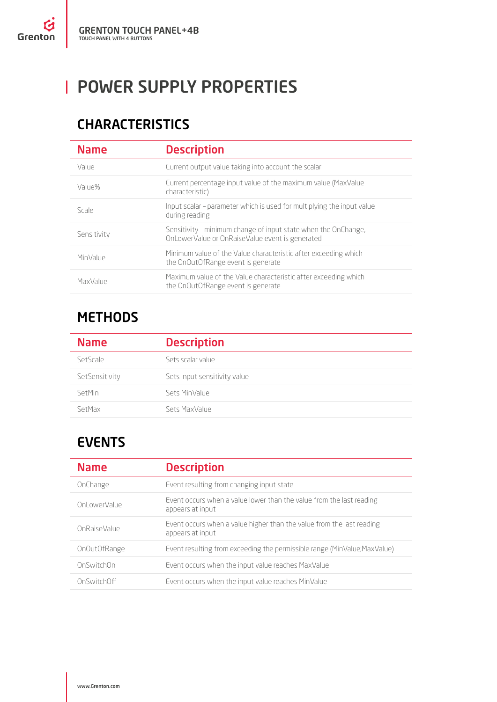# **POWER SUPPLY PROPERTIES**

### CHARACTERISTICS

| <b>Name</b> | <b>Description</b>                                                                                                |
|-------------|-------------------------------------------------------------------------------------------------------------------|
| Value       | Current output value taking into account the scalar                                                               |
| Value%      | Current percentage input value of the maximum value (MaxValue)<br>characteristic)                                 |
| Scale       | Input scalar – parameter which is used for multiplying the input value<br>during reading                          |
| Sensitivity | Sensitivity – minimum change of input state when the OnChange,<br>OnLowerValue or OnRaiseValue event is generated |
| MinValue    | Minimum value of the Value characteristic after exceeding which<br>the OnOutOfRange event is generate             |
| MaxValue    | Maximum value of the Value characteristic after exceeding which<br>the OnOutOfRange event is generate             |

### **METHODS**

| <b>Name</b>    | <b>Description</b>           |
|----------------|------------------------------|
| SetScale       | Sets scalar value            |
| SetSensitivity | Sets input sensitivity value |
| SetMin         | Sets MinValue                |
| SetMax         | Sets MaxValue                |

## EVENTS

| <b>Name</b>   | <b>Description</b>                                                                        |
|---------------|-------------------------------------------------------------------------------------------|
| OnChange      | Event resulting from changing input state                                                 |
| Onl owerValue | Event occurs when a value lower than the value from the last reading<br>appears at input  |
| OnRaiseValue  | Event occurs when a value higher than the value from the last reading<br>appears at input |
| OnOutOfRange  | Event resulting from exceeding the permissible range (MinValue; MaxValue)                 |
| OnSwitchOn    | Event occurs when the input value reaches MaxValue                                        |
| OnSwitchOff   | Event occurs when the input value reaches MinValue                                        |